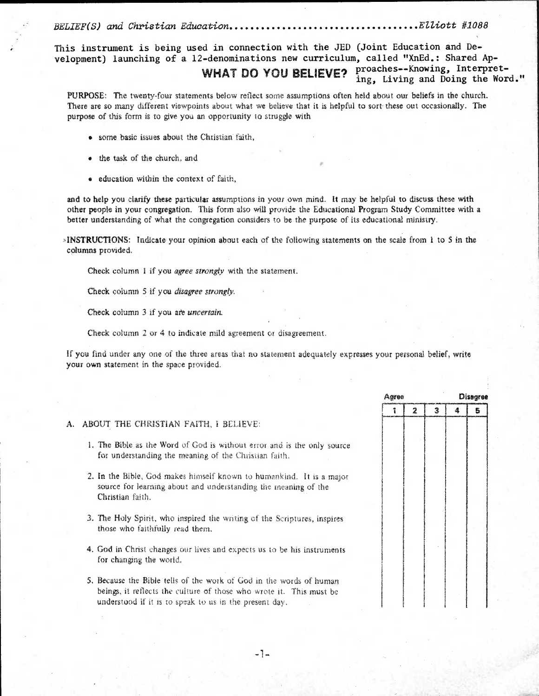BELIEF(S) and Christian Education Elliott #1088

This instrument is being used in connection with the JED (Joint Education and Development) launching of a 12-denominations new curriculum, called "XnEd.: Shared Ap-WHAT DO YOU BELIEVE? proaches--Knowing, Interpreting, Living and Doing the Word."

PURPOSE: The twenty-four statements below reflect some assumptions often held about our beliefs in the church. There are so many different viewpoints about what we believe that it is helpful to sort these out occasionally. The purpose of this form is to give you an opportunity to struggle with

- some basic issues about the Christian faith,
- the task of the church, and
- \* education within the context of faith,

and to help you clarify these particular assumptions in your own mind. It may be helpful to discuss these with other people in your congregation. This form also will provide the Educational Program Study Committee with a better understanding of what the congregation considers to be the purpose of its educational ministry.

\*INSTRUCTIONS: Indicate your opinion about each of the following statements on the scale from 1 to 5 in the columns provided.

Check column 1 if you *agree strongly* with the statement.

Check column 5 if you *disagree strongly.* 

Check column 3 if you are *uncertain*.

Check column 2 or 4 to indicate mild agreement or disagreement.

If you find under any one of the three areas that no statement adequately expresses your personal belief, write your own statement in the space provided.

|    |                                                                                                                                                                                                      | Agree |   | Disagree |  |  |
|----|------------------------------------------------------------------------------------------------------------------------------------------------------------------------------------------------------|-------|---|----------|--|--|
|    |                                                                                                                                                                                                      |       | 2 | 3        |  |  |
| А. | ABOUT THE CHRISTIAN FAITH, I BELIEVE:                                                                                                                                                                |       |   |          |  |  |
|    | 1. The Bible as the Word of God is without error and is the only source<br>for understanding the meaning of the Christian faith.                                                                     |       |   |          |  |  |
|    | 2. In the Bible, God makes himself known to humankind. It is a major<br>source for learning about and understanding the meaning of the<br>Christian faith.                                           |       |   |          |  |  |
|    | 3. The Holy Spirit, who inspired the writing of the Scriptures, inspires<br>those who faithfully read them.                                                                                          |       |   |          |  |  |
|    | 4. God in Christ changes our lives and expects us to be his instruments<br>for changing the world.                                                                                                   |       |   |          |  |  |
|    | 5. Because the Bible tells of the work of God in the words of human<br>beings, it reflects the culture of those who wrote it. This must be<br>understood if it is to speak to us in the present day. |       |   |          |  |  |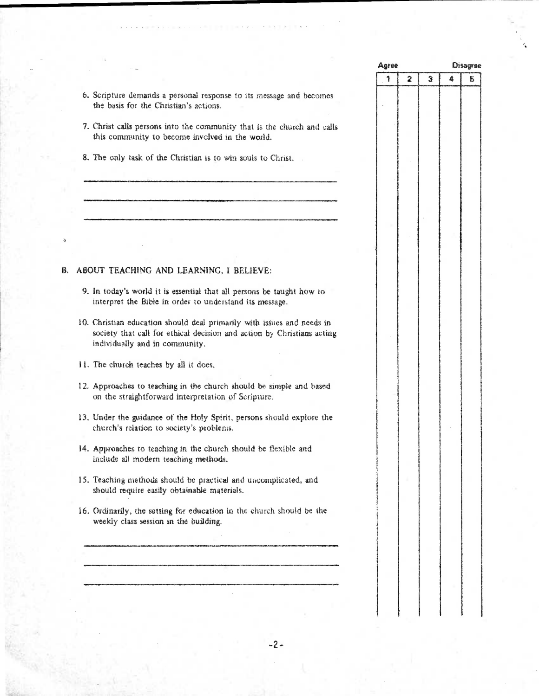|               | Agree |                         |   | <b>Disagree</b> |   |  |  |
|---------------|-------|-------------------------|---|-----------------|---|--|--|
|               | 1     | $\overline{\mathbf{z}}$ | 3 | 4               | 5 |  |  |
| nd becomes    |       |                         |   |                 |   |  |  |
|               |       |                         |   |                 |   |  |  |
| rch and calls |       |                         |   |                 |   |  |  |
|               |       |                         |   |                 |   |  |  |
|               |       |                         |   |                 |   |  |  |
|               |       |                         |   |                 |   |  |  |
|               |       |                         |   |                 |   |  |  |
|               |       |                         |   |                 |   |  |  |
|               |       |                         |   |                 |   |  |  |
|               |       |                         |   |                 |   |  |  |
|               |       |                         |   |                 |   |  |  |
|               |       |                         |   |                 |   |  |  |
|               |       |                         |   |                 |   |  |  |
|               |       |                         |   |                 |   |  |  |
|               |       |                         |   |                 |   |  |  |
| it how to     |       |                         |   |                 |   |  |  |
|               |       |                         |   |                 |   |  |  |
| nd needs in   |       |                         |   |                 |   |  |  |
| stians acting |       |                         |   |                 |   |  |  |
|               |       |                         |   |                 |   |  |  |
|               |       |                         |   |                 |   |  |  |
|               |       |                         |   |                 |   |  |  |
| and based     |       |                         |   |                 |   |  |  |
|               |       |                         |   |                 |   |  |  |
| explore the   |       |                         |   |                 |   |  |  |
|               |       |                         |   |                 |   |  |  |
| e and         |       |                         |   |                 |   |  |  |
|               |       |                         |   |                 |   |  |  |
|               |       |                         |   |                 |   |  |  |
| ed, and       |       |                         |   |                 |   |  |  |
|               |       |                         |   |                 |   |  |  |
| ald be the    |       |                         |   |                 |   |  |  |
|               |       |                         |   |                 |   |  |  |
|               |       |                         |   |                 |   |  |  |
|               |       |                         |   |                 |   |  |  |
|               |       |                         |   |                 |   |  |  |
|               |       |                         |   |                 |   |  |  |
|               |       |                         |   |                 |   |  |  |
|               |       |                         |   |                 |   |  |  |
|               |       |                         |   |                 |   |  |  |

- 6. Scripture demands a personal response to its message and the basis for the Christian's actions.
- 7. Christ calls persons into the community that is the chur this community to become involved in the world.
- 8. The only task of the Christian is to win souls to Christ.

## B. ABOUT TEACHING AND LEARNING, I BELIEVE:

- 9. In today's world it is essential that all persons be taugh interpret the Bible in order to understand its message.
- 10. Christian education should deal primarily with issues an society that call for ethical decision and action by Chris individually and in community.
- 11. The church teaches by all it does.
- 12. Approaches to teaching in the church should be simple on the straightforward interpretation of Scripture.
- 13. Under the guidance of the Holy Spirit, persons should church's relation to society's problems.
- 14. Approaches to teaching in the church should be flexible include all modern teaching methods.
- 15. Teaching methods should be practical and uncomplicate should require easily obtainable materials.
- 16. Ordinarily, the setting for education in the church should weekly class session in the building.

 $-2 -$